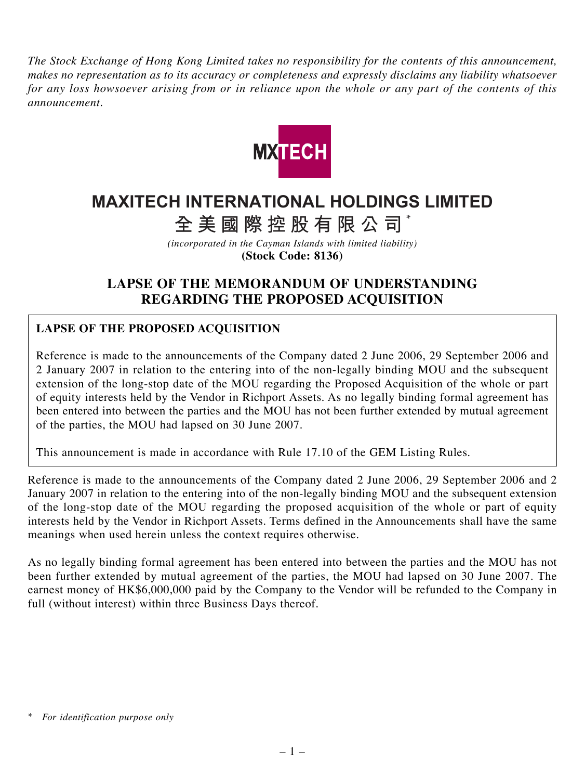*The Stock Exchange of Hong Kong Limited takes no responsibility for the contents of this announcement, makes no representation as to its accuracy or completeness and expressly disclaims any liability whatsoever for any loss howsoever arising from or in reliance upon the whole or any part of the contents of this announcement.*



## **MAXITECH INTERNATIONAL HOLDINGS LIMITED**

**全美國際控股有限公司** \*

*(incorporated in the Cayman Islands with limited liability)* **(Stock Code: 8136)**

## **LAPSE OF THE MEMORANDUM OF UNDERSTANDING REGARDING THE PROPOSED ACQUISITION**

## **LAPSE OF THE PROPOSED ACQUISITION**

Reference is made to the announcements of the Company dated 2 June 2006, 29 September 2006 and 2 January 2007 in relation to the entering into of the non-legally binding MOU and the subsequent extension of the long-stop date of the MOU regarding the Proposed Acquisition of the whole or part of equity interests held by the Vendor in Richport Assets. As no legally binding formal agreement has been entered into between the parties and the MOU has not been further extended by mutual agreement of the parties, the MOU had lapsed on 30 June 2007.

This announcement is made in accordance with Rule 17.10 of the GEM Listing Rules.

Reference is made to the announcements of the Company dated 2 June 2006, 29 September 2006 and 2 January 2007 in relation to the entering into of the non-legally binding MOU and the subsequent extension of the long-stop date of the MOU regarding the proposed acquisition of the whole or part of equity interests held by the Vendor in Richport Assets. Terms defined in the Announcements shall have the same meanings when used herein unless the context requires otherwise.

As no legally binding formal agreement has been entered into between the parties and the MOU has not been further extended by mutual agreement of the parties, the MOU had lapsed on 30 June 2007. The earnest money of HK\$6,000,000 paid by the Company to the Vendor will be refunded to the Company in full (without interest) within three Business Days thereof.

*<sup>\*</sup> For identification purpose only*